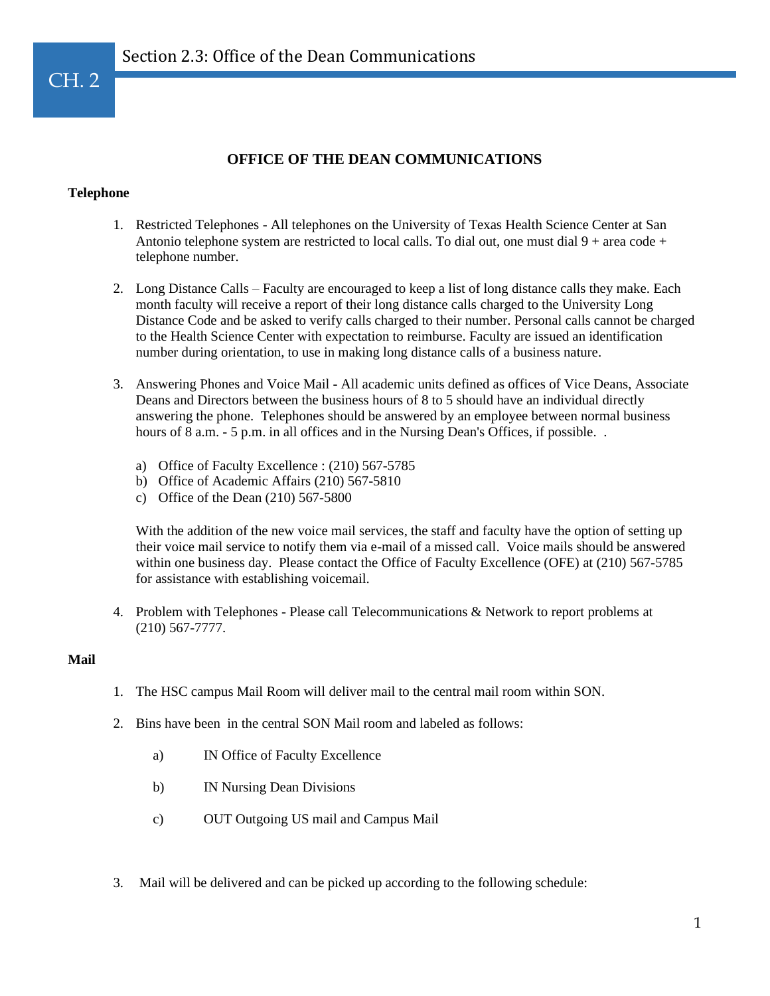# **OFFICE OF THE DEAN COMMUNICATIONS**

### **Telephone**

- 1. Restricted Telephones All telephones on the University of Texas Health Science Center at San Antonio telephone system are restricted to local calls. To dial out, one must dial  $9 + \text{area code} +$ telephone number.
- 2. Long Distance Calls Faculty are encouraged to keep a list of long distance calls they make. Each month faculty will receive a report of their long distance calls charged to the University Long Distance Code and be asked to verify calls charged to their number. Personal calls cannot be charged to the Health Science Center with expectation to reimburse. Faculty are issued an identification number during orientation, to use in making long distance calls of a business nature.
- 3. Answering Phones and Voice Mail All academic units defined as offices of Vice Deans, Associate Deans and Directors between the business hours of 8 to 5 should have an individual directly answering the phone. Telephones should be answered by an employee between normal business hours of 8 a.m. - 5 p.m. in all offices and in the Nursing Dean's Offices, if possible..
	- a) Office of Faculty Excellence : (210) 567-5785
	- b) Office of Academic Affairs (210) 567-5810
	- c) Office of the Dean (210) 567-5800

With the addition of the new voice mail services, the staff and faculty have the option of setting up their voice mail service to notify them via e-mail of a missed call. Voice mails should be answered within one business day. Please contact the Office of Faculty Excellence (OFE) at (210) 567-5785 for assistance with establishing voicemail.

4. Problem with Telephones - Please call Telecommunications & Network to report problems at (210) 567-7777.

#### **Mail**

- 1. The HSC campus Mail Room will deliver mail to the central mail room within SON.
- 2. Bins have been in the central SON Mail room and labeled as follows:
	- a) IN Office of Faculty Excellence
	- b) IN Nursing Dean Divisions
	- c) OUT Outgoing US mail and Campus Mail
- 3. Mail will be delivered and can be picked up according to the following schedule: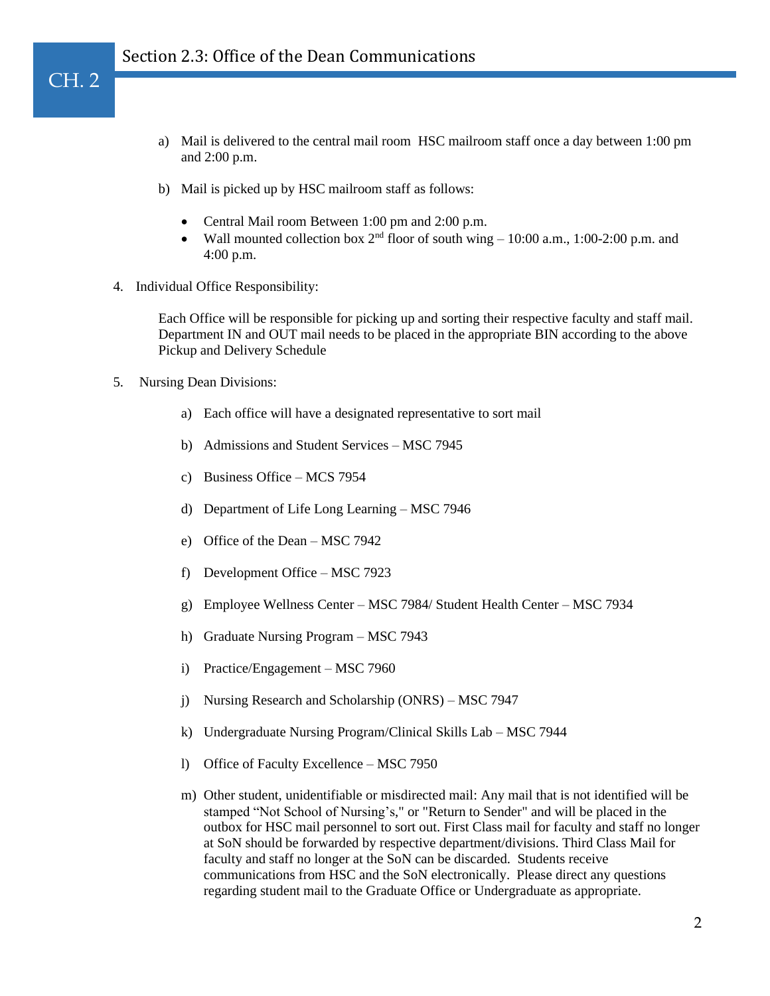- a) Mail is delivered to the central mail room HSC mailroom staff once a day between 1:00 pm and 2:00 p.m.
- b) Mail is picked up by HSC mailroom staff as follows:
	- Central Mail room Between 1:00 pm and 2:00 p.m.
	- Wall mounted collection box  $2^{nd}$  floor of south wing  $-10:00$  a.m., 1:00-2:00 p.m. and 4:00 p.m.
- 4. Individual Office Responsibility:

Each Office will be responsible for picking up and sorting their respective faculty and staff mail. Department IN and OUT mail needs to be placed in the appropriate BIN according to the above Pickup and Delivery Schedule

5. Nursing Dean Divisions:

CH. 2

- a) Each office will have a designated representative to sort mail
- b) Admissions and Student Services MSC 7945
- c) Business Office MCS 7954
- d) Department of Life Long Learning MSC 7946
- e) Office of the Dean MSC 7942
- f) Development Office MSC 7923
- g) Employee Wellness Center MSC 7984/ Student Health Center MSC 7934
- h) Graduate Nursing Program MSC 7943
- i) Practice/Engagement MSC 7960
- j) Nursing Research and Scholarship (ONRS) MSC 7947
- k) Undergraduate Nursing Program/Clinical Skills Lab MSC 7944
- l) Office of Faculty Excellence MSC 7950
- m) Other student, unidentifiable or misdirected mail: Any mail that is not identified will be stamped "Not School of Nursing's," or "Return to Sender" and will be placed in the outbox for HSC mail personnel to sort out. First Class mail for faculty and staff no longer at SoN should be forwarded by respective department/divisions. Third Class Mail for faculty and staff no longer at the SoN can be discarded. Students receive communications from HSC and the SoN electronically. Please direct any questions regarding student mail to the Graduate Office or Undergraduate as appropriate.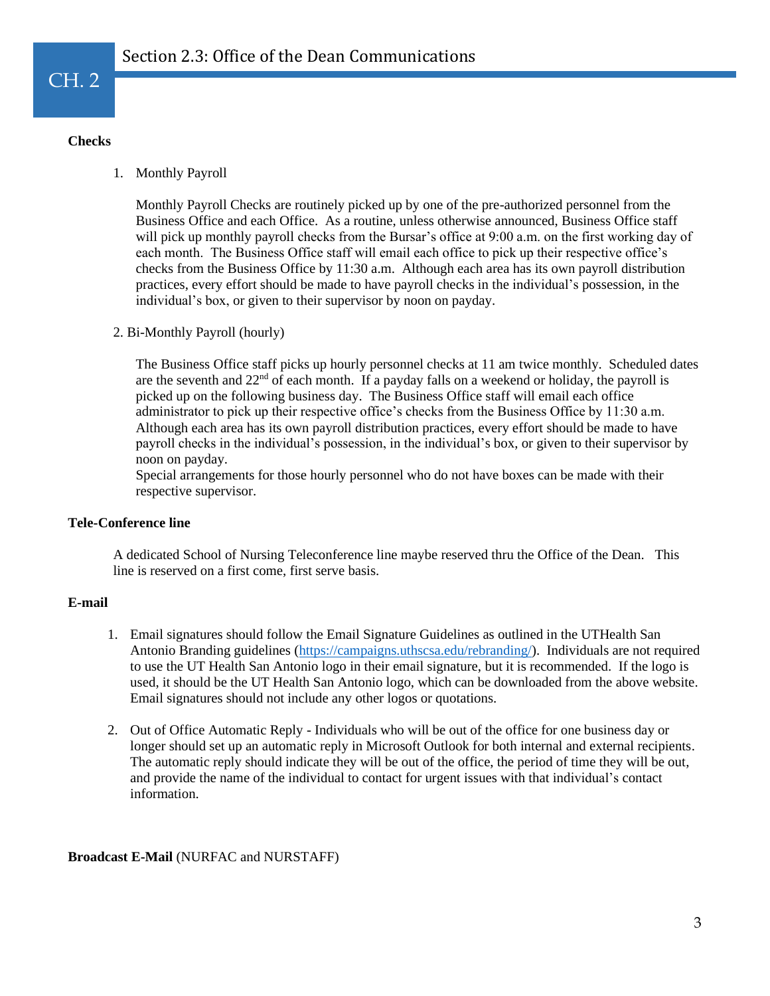## **Checks**

1. Monthly Payroll

Monthly Payroll Checks are routinely picked up by one of the pre-authorized personnel from the Business Office and each Office. As a routine, unless otherwise announced, Business Office staff will pick up monthly payroll checks from the Bursar's office at 9:00 a.m. on the first working day of each month. The Business Office staff will email each office to pick up their respective office's checks from the Business Office by 11:30 a.m. Although each area has its own payroll distribution practices, every effort should be made to have payroll checks in the individual's possession, in the individual's box, or given to their supervisor by noon on payday.

2. Bi-Monthly Payroll (hourly)

The Business Office staff picks up hourly personnel checks at 11 am twice monthly. Scheduled dates are the seventh and  $22<sup>nd</sup>$  of each month. If a payday falls on a weekend or holiday, the payroll is picked up on the following business day. The Business Office staff will email each office administrator to pick up their respective office's checks from the Business Office by 11:30 a.m. Although each area has its own payroll distribution practices, every effort should be made to have payroll checks in the individual's possession, in the individual's box, or given to their supervisor by noon on payday.

Special arrangements for those hourly personnel who do not have boxes can be made with their respective supervisor.

#### **Tele-Conference line**

A dedicated School of Nursing Teleconference line maybe reserved thru the Office of the Dean. This line is reserved on a first come, first serve basis.

# **E-mail**

- 1. Email signatures should follow the Email Signature Guidelines as outlined in the UTHealth San Antonio Branding guidelines [\(https://campaigns.uthscsa.edu/rebranding/\)](https://campaigns.uthscsa.edu/rebranding/). Individuals are not required to use the UT Health San Antonio logo in their email signature, but it is recommended. If the logo is used, it should be the UT Health San Antonio logo, which can be downloaded from the above website. Email signatures should not include any other logos or quotations.
- 2. Out of Office Automatic Reply Individuals who will be out of the office for one business day or longer should set up an automatic reply in Microsoft Outlook for both internal and external recipients. The automatic reply should indicate they will be out of the office, the period of time they will be out, and provide the name of the individual to contact for urgent issues with that individual's contact information.

# **Broadcast E-Mail** (NURFAC and NURSTAFF)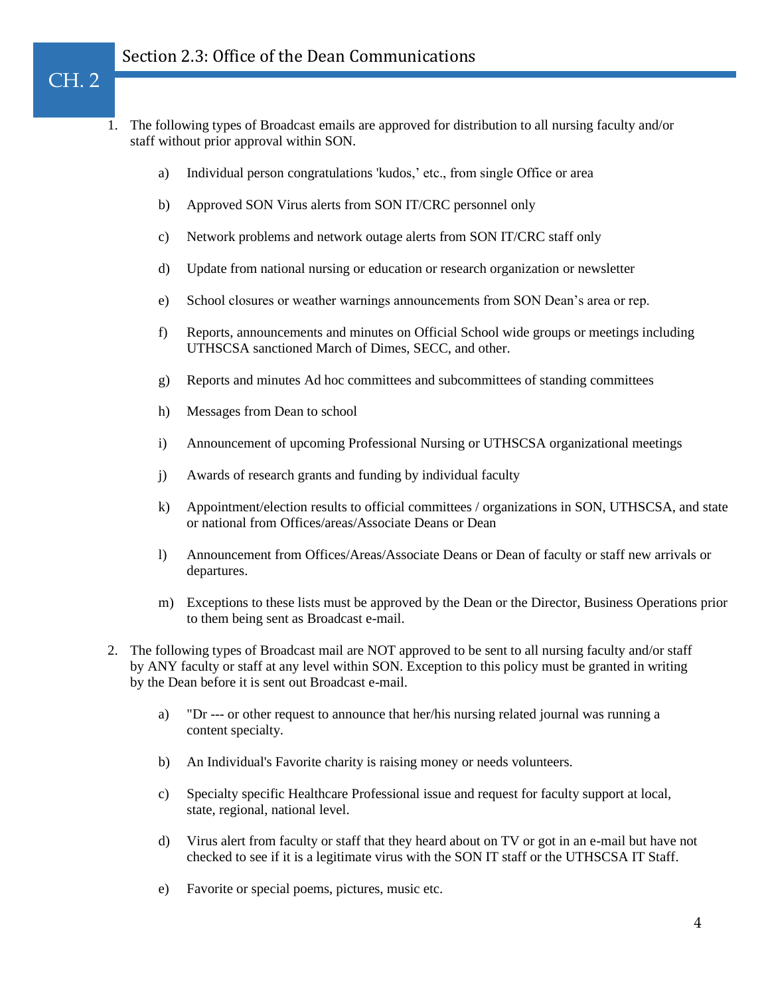CH. 2

- 1. The following types of Broadcast emails are approved for distribution to all nursing faculty and/or staff without prior approval within SON.
	- a) Individual person congratulations 'kudos,' etc., from single Office or area
	- b) Approved SON Virus alerts from SON IT/CRC personnel only
	- c) Network problems and network outage alerts from SON IT/CRC staff only
	- d) Update from national nursing or education or research organization or newsletter
	- e) School closures or weather warnings announcements from SON Dean's area or rep.
	- f) Reports, announcements and minutes on Official School wide groups or meetings including UTHSCSA sanctioned March of Dimes, SECC, and other.
	- g) Reports and minutes Ad hoc committees and subcommittees of standing committees
	- h) Messages from Dean to school
	- i) Announcement of upcoming Professional Nursing or UTHSCSA organizational meetings
	- j) Awards of research grants and funding by individual faculty
	- k) Appointment/election results to official committees / organizations in SON, UTHSCSA, and state or national from Offices/areas/Associate Deans or Dean
	- l) Announcement from Offices/Areas/Associate Deans or Dean of faculty or staff new arrivals or departures.
	- m) Exceptions to these lists must be approved by the Dean or the Director, Business Operations prior to them being sent as Broadcast e-mail.
- 2. The following types of Broadcast mail are NOT approved to be sent to all nursing faculty and/or staff by ANY faculty or staff at any level within SON. Exception to this policy must be granted in writing by the Dean before it is sent out Broadcast e-mail.
	- a) "Dr --- or other request to announce that her/his nursing related journal was running a content specialty.
	- b) An Individual's Favorite charity is raising money or needs volunteers.
	- c) Specialty specific Healthcare Professional issue and request for faculty support at local, state, regional, national level.
	- d) Virus alert from faculty or staff that they heard about on TV or got in an e-mail but have not checked to see if it is a legitimate virus with the SON IT staff or the UTHSCSA IT Staff.
	- e) Favorite or special poems, pictures, music etc.